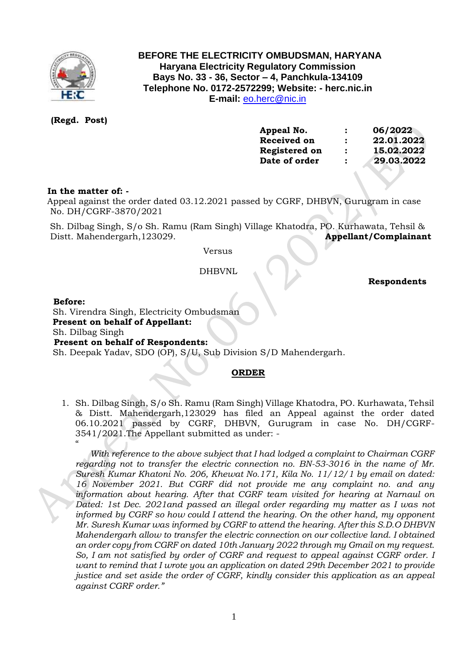

# **BEFORE THE ELECTRICITY OMBUDSMAN, HARYANA Haryana Electricity Regulatory Commission Bays No. 33 - 36, Sector – 4, Panchkula-134109 Telephone No. 0172-2572299; Website: - herc.nic.in E-mail:** [eo.herc@nic.in](mailto:eo.herc@nic.in)

 **(Regd. Post)**

| Appeal No.    | :                    | 06/2022    |
|---------------|----------------------|------------|
| Received on   | $\ddot{\phantom{a}}$ | 22.01.2022 |
| Registered on | $\ddot{\cdot}$       | 15.02.2022 |
| Date of order | $\ddot{\phantom{a}}$ | 29.03.2022 |
|               |                      |            |

## **In the matter of: -**

 Appeal against the order dated 03.12.2021 passed by CGRF, DHBVN, Gurugram in case No. DH/CGRF-3870/2021

 Sh. Dilbag Singh, S/o Sh. Ramu (Ram Singh) Village Khatodra, PO. Kurhawata, Tehsil & Distt. Mahendergarh,123029. **Appellant/Complainant** 

Versus

### DHBVNL

 **Respondents**

#### **Before:**

 Sh. Virendra Singh, Electricity Ombudsman **Present on behalf of Appellant:**  Sh. Dilbag Singh **Present on behalf of Respondents:**  Sh. Deepak Yadav, SDO (OP), S/U, Sub Division S/D Mahendergarh.

## **ORDER**

1. Sh. Dilbag Singh, S/o Sh. Ramu (Ram Singh) Village Khatodra, PO. Kurhawata, Tehsil & Distt. Mahendergarh,123029 has filed an Appeal against the order dated 06.10.2021 passed by CGRF, DHBVN, Gurugram in case No. DH/CGRF-3541/2021.The Appellant submitted as under: -  $\alpha$ 

*With reference to the above subject that I had lodged a complaint to Chairman CGRF regarding not to transfer the electric connection no. BN-53-3016 in the name of Mr. Suresh Kumar Khatoni No. 206, Khewat No.171, Kila No. 11/12/1 by email on dated: 16 November 2021. But CGRF did not provide me any complaint no. and any information about hearing. After that CGRF team visited for hearing at Narnaul on Dated: 1st Dec. 2021and passed an illegal order regarding my matter as I was not informed by CGRF so how could I attend the hearing. On the other hand, my opponent Mr. Suresh Kumar was informed by CGRF to attend the hearing. After this S.D.O DHBVN Mahendergarh allow to transfer the electric connection on our collective land. I obtained an order copy from CGRF on dated 10th January 2022 through my Gmail on my request. So, I am not satisfied by order of CGRF and request to appeal against CGRF order. I want to remind that I wrote you an application on dated 29th December 2021 to provide justice and set aside the order of CGRF, kindly consider this application as an appeal against CGRF order."*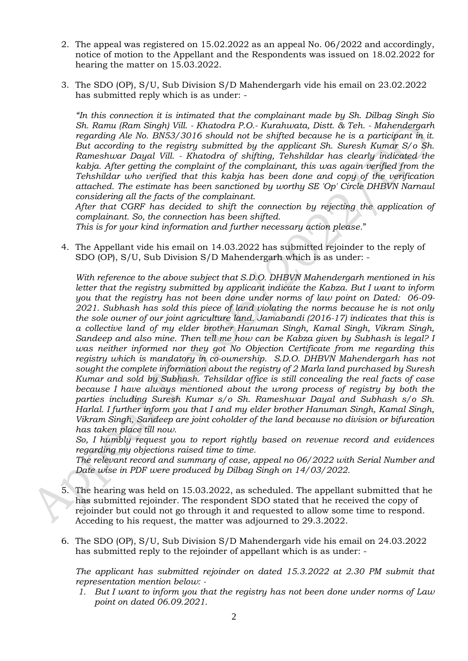- 2. The appeal was registered on 15.02.2022 as an appeal No. 06/2022 and accordingly, notice of motion to the Appellant and the Respondents was issued on 18.02.2022 for hearing the matter on 15.03.2022.
- 3. The SDO (OP), S/U, Sub Division S/D Mahendergarh vide his email on 23.02.2022 has submitted reply which is as under: -

*"In this connection it is intimated that the complainant made by Sh. Dilbag Singh Sio Sh. Ramu (Ram Singh) Vill. - Khatodra P.O.- Kurahwata, Distt. & Teh. - Mahendergarh regarding Ale No. BN53/3016 should not be shifted because he is a participant in it. But according to the registry submitted by the applicant Sh. Suresh Kumar S/o Sh. Rameshwar Dayal Vill. - Khatodra of shifting, Tehshildar has clearly indicated the kabja. After getting the complaint of the complainant, this was again verified from the Tehshildar who verified that this kabja has been done and copy of the verification attached. The estimate has been sanctioned by worthy SE 'Op' Circle DHBVN Narnaul considering all the facts of the complainant.* 

 *After that CGRF has decided to shift the connection by rejecting the application of complainant. So, the connection has been shifted.* 

*This is for your kind information and further necessary action please.*"

4. The Appellant vide his email on 14.03.2022 has submitted rejoinder to the reply of SDO (OP), S/U, Sub Division S/D Mahendergarh which is as under: -

*With reference to the above subject that S.D.O. DHBVN Mahendergarh mentioned in his letter that the registry submitted by applicant indicate the Kabza. But I want to inform you that the registry has not been done under norms of law point on Dated: 06-09- 2021. Subhash has sold this piece of land violating the norms because he is not only the sole owner of our joint agriculture land. Jamabandi (2016-17) indicates that this is a collective land of my elder brother Hanuman Singh, Kamal Singh, Vikram Singh, Sandeep and also mine. Then tell me how can be Kabza given by Subhash is legal? I was neither informed nor they got No Objection Certificate from me regarding this registry which is mandatory in co-ownership. S.D.O. DHBVN Mahendergarh has not sought the complete information about the registry of 2 Marla land purchased by Suresh Kumar and sold by Subhash. Tehsildar office is still concealing the real facts of case because I have always mentioned about the wrong process of registry by both the parties including Suresh Kumar s/o Sh. Rameshwar Dayal and Subhash s/o Sh. Harlal. I further inform you that I and my elder brother Hanuman Singh, Kamal Singh, Vikram Singh, Sandeep are joint coholder of the land because no division or bifurcation has taken place till now.*

*So, I humbly request you to report rightly based on revenue record and evidences regarding my objections raised time to time.*

*The relevant record and summary of case, appeal no 06/2022 with Serial Number and Date wise in PDF were produced by Dilbag Singh on 14/03/2022.*

- 5. The hearing was held on 15.03.2022, as scheduled. The appellant submitted that he has submitted rejoinder. The respondent SDO stated that he received the copy of rejoinder but could not go through it and requested to allow some time to respond. Acceding to his request, the matter was adjourned to 29.3.2022.
- 6. The SDO (OP), S/U, Sub Division S/D Mahendergarh vide his email on 24.03.2022 has submitted reply to the rejoinder of appellant which is as under: -

*The applicant has submitted rejoinder on dated 15.3.2022 at 2.30 PM submit that representation mention below: -*

*1. But I want to inform you that the registry has not been done under norms of Law point on dated 06.09.2021.*